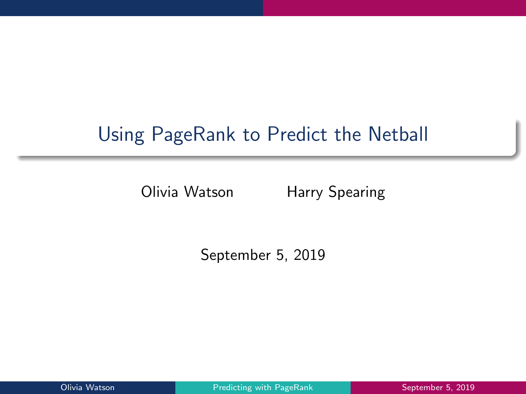# Using PageRank to Predict the Netball

Olivia Watson Harry Spearing

September 5, 2019

Olivia Watson **Predicting with PageRank** Prediction September 5, 2019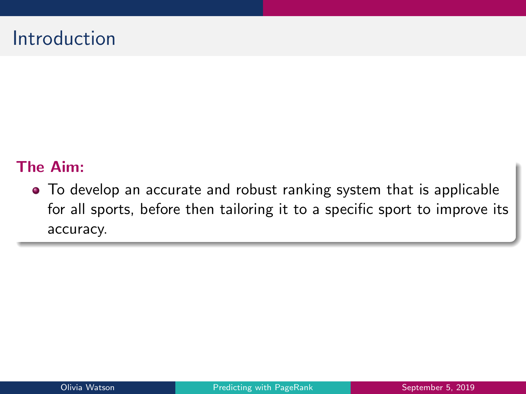## Introduction

#### The Aim:

To develop an accurate and robust ranking system that is applicable for all sports, before then tailoring it to a specific sport to improve its accuracy.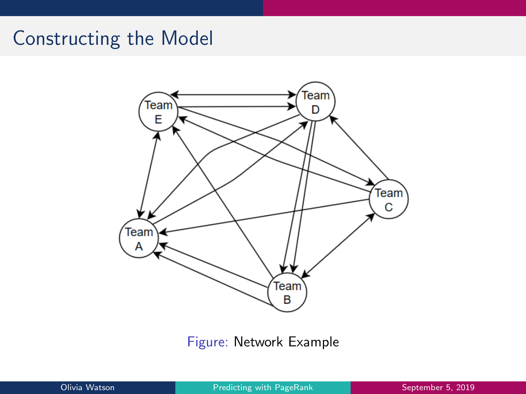## Constructing the Model



Figure: Network Example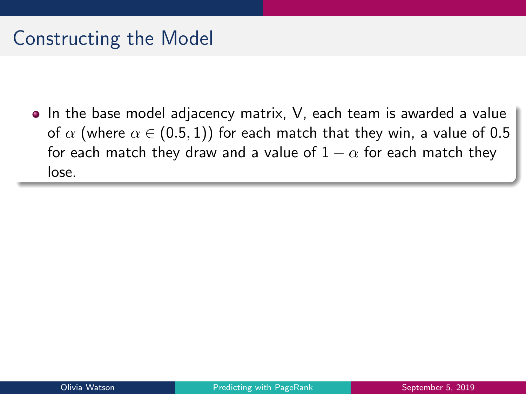## Constructing the Model

• In the base model adjacency matrix, V, each team is awarded a value of  $\alpha$  (where  $\alpha \in (0.5, 1)$ ) for each match that they win, a value of 0.5 for each match they draw and a value of  $1 - \alpha$  for each match they lose.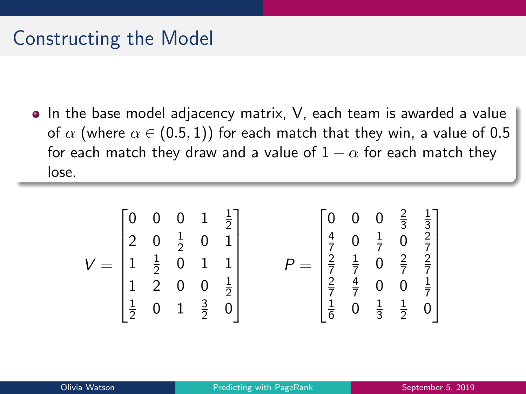### Constructing the Model

In the base model adjacency matrix, V, each team is awarded a value of  $\alpha$  (where  $\alpha \in (0.5, 1)$ ) for each match that they win, a value of 0.5 for each match they draw and a value of  $1 - \alpha$  for each match they lose.

$$
V = \begin{bmatrix} 0 & 0 & 0 & 1 & \frac{1}{2} \\ 2 & 0 & \frac{1}{2} & 0 & 1 \\ 1 & \frac{1}{2} & 0 & 1 & 1 \\ \frac{1}{2} & 0 & 1 & \frac{3}{2} & 0 \end{bmatrix} \qquad P = \begin{bmatrix} 0 & 0 & 0 & \frac{2}{3} & \frac{1}{3} \\ \frac{4}{7} & 0 & \frac{1}{7} & 0 & \frac{2}{7} \\ \frac{2}{7} & \frac{1}{7} & 0 & \frac{2}{7} & \frac{2}{7} \\ \frac{2}{7} & \frac{4}{7} & 0 & 0 & \frac{1}{7} \\ \frac{1}{6} & 0 & \frac{1}{3} & \frac{1}{2} & 0 \end{bmatrix}
$$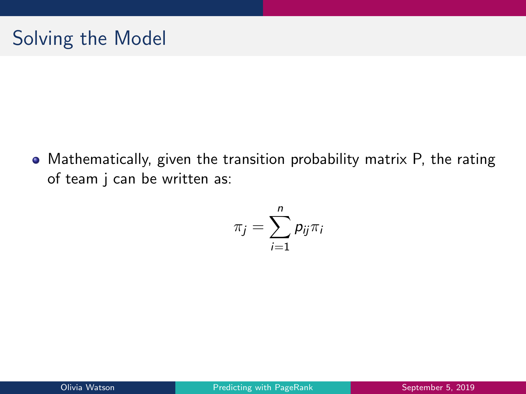Mathematically, given the transition probability matrix P, the rating of team j can be written as:

$$
\pi_j = \sum_{i=1}^n p_{ij} \pi_i
$$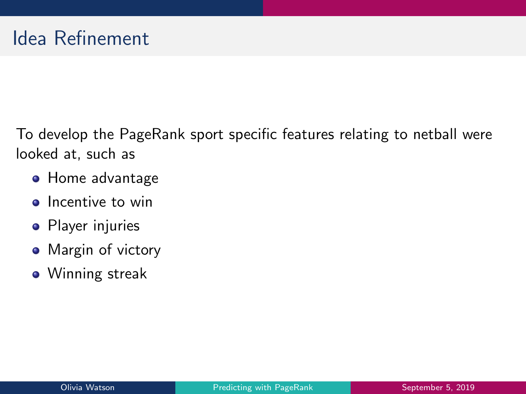To develop the PageRank sport specific features relating to netball were looked at, such as

- **Home advantage**
- Incentive to win
- Player injuries
- Margin of victory
- Winning streak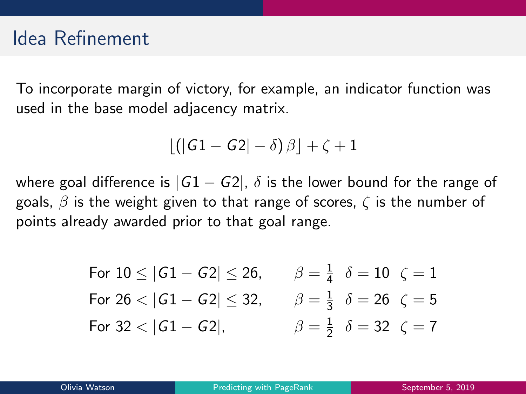#### Idea Refinement

To incorporate margin of victory, for example, an indicator function was used in the base model adjacency matrix.

$$
\lfloor \left( \left| G1 - G2 \right| - \delta \right) \beta \rfloor + \zeta + 1
$$

where goal difference is  $|G1 - G2|$ ,  $\delta$  is the lower bound for the range of goals,  $\beta$  is the weight given to that range of scores,  $\zeta$  is the number of points already awarded prior to that goal range.

For 
$$
10 \le |G1 - G2| \le 26
$$
,  $\beta = \frac{1}{4}$   $\delta = 10$   $\zeta = 1$   
\nFor  $26 < |G1 - G2| \le 32$ ,  $\beta = \frac{1}{3}$   $\delta = 26$   $\zeta = 5$   
\nFor  $32 < |G1 - G2|$ ,  $\beta = \frac{1}{2}$   $\delta = 32$   $\zeta = 7$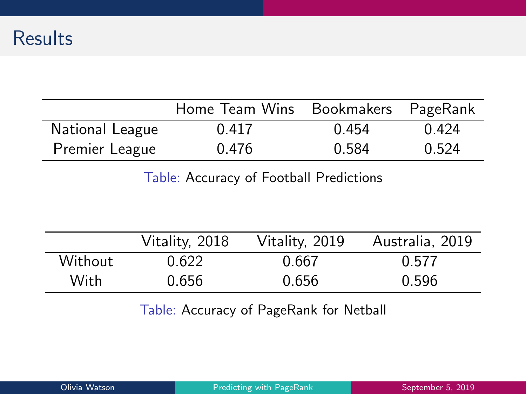#### **Results**

|                 | Home Team Wins Bookmakers PageRank |       |       |
|-----------------|------------------------------------|-------|-------|
| National League | 0.417                              | 0.454 | 0.424 |
| Premier League  | 0.476                              | 0.584 | 0.524 |

Table: Accuracy of Football Predictions

|         | Vitality, 2018 | Vitality, 2019 | Australia, 2019 |
|---------|----------------|----------------|-----------------|
| Without | 0.622          | 0.667          | 0.577           |
| With    | 0.656          | 0.656          | 0.596           |

Table: Accuracy of PageRank for Netball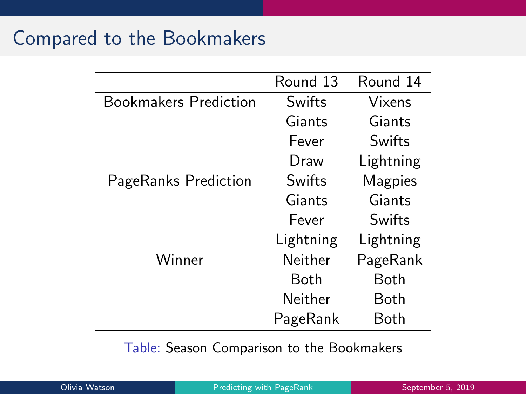### Compared to the Bookmakers

|                              | Round 13    | Round 14  |
|------------------------------|-------------|-----------|
| <b>Bookmakers Prediction</b> | Swifts      | Vixens    |
|                              | Giants      | Giants    |
|                              | Fever       | Swifts    |
|                              | Draw        | Lightning |
| PageRanks Prediction         | Swifts      | Magpies   |
|                              | Giants      | Giants    |
|                              | Fever       | Swifts    |
|                              | Lightning   | Lightning |
| Winner                       | Neither     | PageRank  |
|                              | <b>Both</b> | Both      |
|                              | Neither     | Both      |
|                              | PageRank    | Both      |

Table: Season Comparison to the Bookmakers

| Olivia Watson |  |  |
|---------------|--|--|
|               |  |  |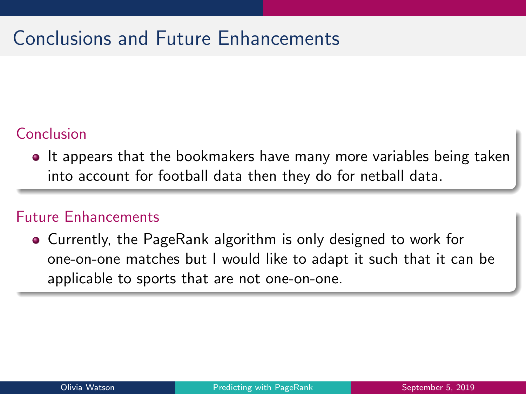# Conclusions and Future Enhancements

#### Conclusion

**It appears that the bookmakers have many more variables being taken** into account for football data then they do for netball data.

#### Future Enhancements

Currently, the PageRank algorithm is only designed to work for one-on-one matches but I would like to adapt it such that it can be applicable to sports that are not one-on-one.